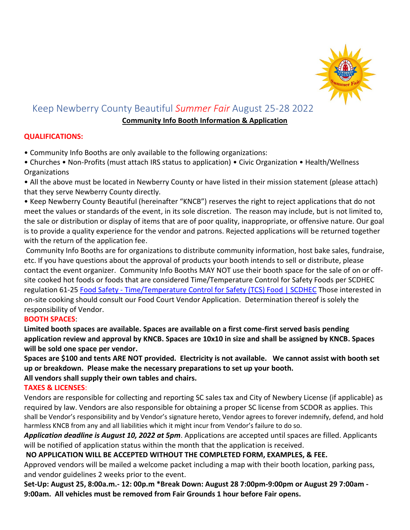

# Keep Newberry County Beautiful *Summer Fair* August 25-28 2022

### **Community Info Booth Information & Application**

# **QUALIFICATIONS:**

• Community Info Booths are only available to the following organizations:

• Churches • Non-Profits (must attach IRS status to application) • Civic Organization • Health/Wellness Organizations

• All the above must be located in Newberry County or have listed in their mission statement (please attach) that they serve Newberry County directly.

• Keep Newberry County Beautiful (hereinafter "KNCB") reserves the right to reject applications that do not meet the values or standards of the event, in its sole discretion. The reason may include, but is not limited to, the sale or distribution or display of items that are of poor quality, inappropriate, or offensive nature. Our goal is to provide a quality experience for the vendor and patrons. Rejected applications will be returned together with the return of the application fee.

Community Info Booths are for organizations to distribute community information, host bake sales, fundraise, etc. If you have questions about the approval of products your booth intends to sell or distribute, please contact the event organizer. Community Info Booths MAY NOT use their booth space for the sale of on or offsite cooked hot foods or foods that are considered Time/Temperature Control for Safety Foods per SCDHEC regulation 61-25 Food Safety - [Time/Temperature Control for Safety \(TCS\) Food | SCDHEC](about:blank) Those interested in on-site cooking should consult our Food Court Vendor Application. Determination thereof is solely the responsibility of Vendor.

# **BOOTH SPACES**:

**Limited booth spaces are available. Spaces are available on a first come-first served basis pending application review and approval by KNCB. Spaces are 10x10 in size and shall be assigned by KNCB. Spaces will be sold one space per vendor.** 

**Spaces are \$100 and tents ARE NOT provided. Electricity is not available. We cannot assist with booth set up or breakdown. Please make the necessary preparations to set up your booth. All vendors shall supply their own tables and chairs.** 

# **TAXES & LICENSES**:

Vendors are responsible for collecting and reporting SC sales tax and City of Newbery License (if applicable) as required by law. Vendors are also responsible for obtaining a proper SC license from SCDOR as applies. This shall be Vendor's responsibility and by Vendor's signature hereto, Vendor agrees to forever indemnify, defend, and hold harmless KNCB from any and all liabilities which it might incur from Vendor's failure to do so.

*Application deadline is August 10, 2022 at 5pm*. Applications are accepted until spaces are filled. Applicants will be notified of application status within the month that the application is received.

# **NO APPLICATION WILL BE ACCEPTED WITHOUT THE COMPLETED FORM, EXAMPLES, & FEE.**

Approved vendors will be mailed a welcome packet including a map with their booth location, parking pass, and vendor guidelines 2 weeks prior to the event.

**Set-Up: August 25, 8:00a.m.- 12: 00p.m \*Break Down: August 28 7:00pm-9:00pm or August 29 7:00am - 9:00am. All vehicles must be removed from Fair Grounds 1 hour before Fair opens.**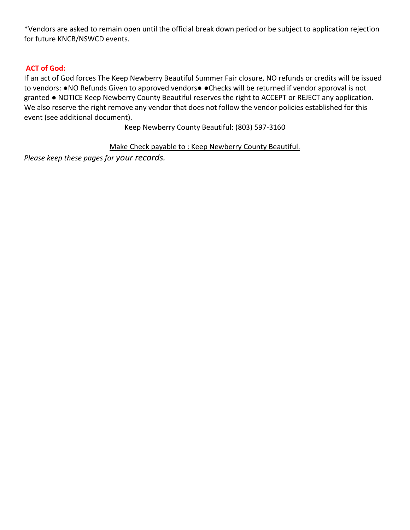\*Vendors are asked to remain open until the official break down period or be subject to application rejection for future KNCB/NSWCD events.

# **ACT of God:**

If an act of God forces The Keep Newberry Beautiful Summer Fair closure, NO refunds or credits will be issued to vendors: .NO Refunds Given to approved vendors. •Checks will be returned if vendor approval is not granted ● NOTICE Keep Newberry County Beautiful reserves the right to ACCEPT or REJECT any application. We also reserve the right remove any vendor that does not follow the vendor policies established for this event (see additional document).

Keep Newberry County Beautiful: (803) 597-3160

Make Check payable to : Keep Newberry County Beautiful.

*Please keep these pages for your records.*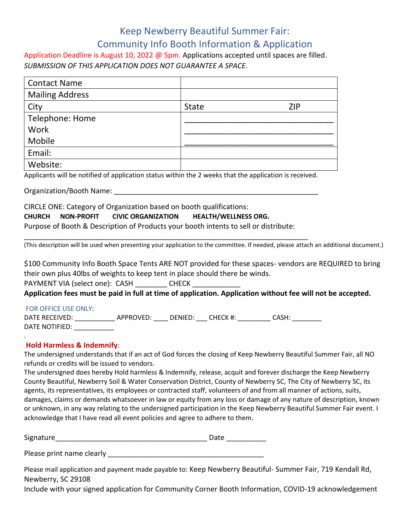# Keep Newberry Beautiful Summer Fair: Community Info Booth Information & Application

Application Deadline is August 10, 2022 @ 5pm. Applications accepted until spaces are filled. *SUBMISSION OF THIS APPLICATION DOES NOT GUARANTEE A SPACE*.

| <b>Contact Name</b>    |              |            |
|------------------------|--------------|------------|
| <b>Mailing Address</b> |              |            |
| City                   | <b>State</b> | <b>ZIP</b> |
| Telephone: Home        |              |            |
| Work                   |              |            |
| Mobile                 |              |            |
| Email:                 |              |            |
| Website:               |              |            |

Applicants will be notified of application status within the 2 weeks that the application is received.

Organization/Booth Name:

CIRCLE ONE: Category of Organization based on booth qualifications: **CHURCH NON-PROFIT CIVIC ORGANIZATION HEALTH/WELLNESS ORG.**  Purpose of Booth & Description of Products your booth intents to sell or distribute:

\_\_\_\_\_\_\_\_\_\_\_\_\_\_\_\_\_\_\_\_\_\_\_\_\_\_\_\_\_\_\_\_\_\_\_\_\_\_\_\_\_\_\_\_\_\_\_\_\_\_\_\_\_\_\_\_\_\_\_\_\_\_\_\_\_\_\_\_\_\_\_

(This description will be used when presenting your application to the committee. If needed, please attach an additional document.)

\$100 Community Info Booth Space Tents ARE NOT provided for these spaces- vendors are REQUIRED to bring their own plus 40lbs of weights to keep tent in place should there be winds.

PAYMENT VIA (select one): CASH \_\_\_\_\_\_\_\_ CHECK

**Application fees must be paid in full at time of application. Application without fee will not be accepted.**

### FOR OFFICE USE ONLY:

.

DATE RECEIVED: \_\_\_\_\_\_\_\_\_\_\_\_\_\_ APPROVED: \_\_\_\_\_ DENIED: \_\_\_\_ CHECK #: \_\_\_\_\_\_\_\_\_\_\_ CASH: \_\_\_\_\_\_\_\_\_\_ DATE NOTIFIED:

### **Hold Harmless & Indemnify**:

The undersigned understands that if an act of God forces the closing of Keep Newberry Beautiful Summer Fair, all NO refunds or credits will be issued to vendors.

The undersigned does hereby Hold harmless & Indemnify, release, acquit and forever discharge the Keep Newberry County Beautiful, Newberry Soil & Water Conservation District, County of Newberry SC, The City of Newberry SC, its agents, its representatives, its employees or contracted staff, volunteers of and from all manner of actions, suits, damages, claims or demands whatsoever in law or equity from any loss or damage of any nature of description, known or unknown, in any way relating to the undersigned participation in the Keep Newberry Beautiful Summer Fair event. I acknowledge that I have read all event policies and agree to adhere to them.

Signature\_\_\_\_\_\_\_\_\_\_\_\_\_\_\_\_\_\_\_\_\_\_\_\_\_\_\_\_\_\_\_\_\_\_\_\_\_\_ Date \_\_\_\_\_\_\_\_\_\_

Please print name clearly produced and the principal product of the set of the set of the set of the set of the set of the set of the set of the set of the set of the set of the set of the set of the set of the set of the

Please mail application and payment made payable to: Keep Newberry Beautiful- Summer Fair, 719 Kendall Rd, Newberry, SC 29108

Include with your signed application for Community Corner Booth Information, COVID-19 acknowledgement